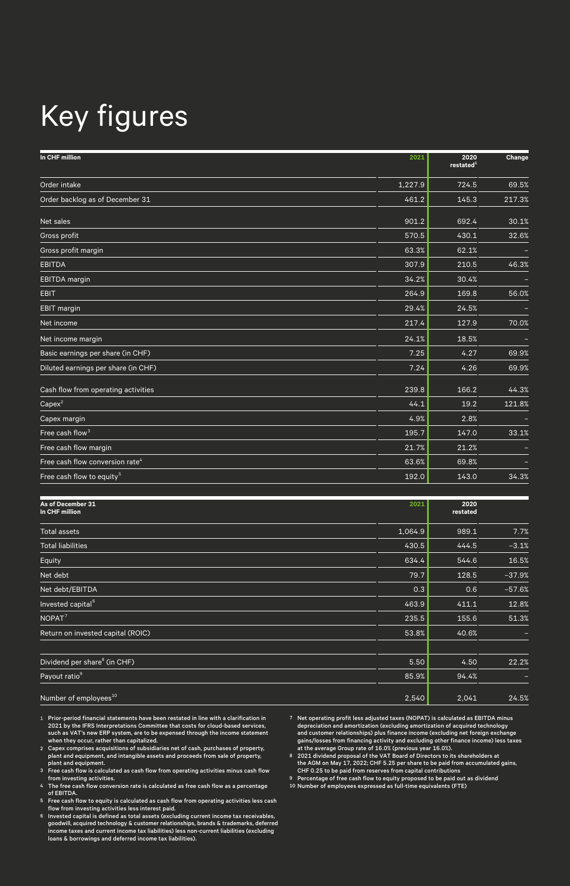## Key figures

| In CHF million                              | 2021    | 2020<br>restated <sup>1</sup> | Change |
|---------------------------------------------|---------|-------------------------------|--------|
| Order intake                                | 1,227.9 | 724.5                         | 69.5%  |
| Order backlog as of December 31             | 461.2   | 145.3                         | 217.3% |
| Net sales                                   | 901.2   | 692.4                         | 30.1%  |
| Gross profit                                | 570.5   | 430.1                         | 32.6%  |
| Gross profit margin                         | 63.3%   | 62.1%                         |        |
| <b>EBITDA</b>                               | 307.9   | 210.5                         | 46.3%  |
| <b>EBITDA</b> margin                        | 34.2%   | 30.4%                         |        |
| <b>EBIT</b>                                 | 264.9   | 169.8                         | 56.0%  |
| <b>EBIT</b> margin                          | 29.4%   | 24.5%                         |        |
| Net income                                  | 217.4   | 127.9                         | 70.0%  |
| Net income margin                           | 24.1%   | 18.5%                         |        |
| Basic earnings per share (in CHF)           | 7.25    | 4.27                          | 69.9%  |
| Diluted earnings per share (in CHF)         | 7.24    | 4.26                          | 69.9%  |
| Cash flow from operating activities         | 239.8   | 166.2                         | 44.3%  |
| $Capex^2$                                   | 44.1    | 19.2                          | 121.8% |
| Capex margin                                | 4.9%    | 2.8%                          |        |
| Free cash flow <sup>3</sup>                 | 195.7   | 147.0                         | 33.1%  |
| Free cash flow margin                       | 21.7%   | 21.2%                         |        |
| Free cash flow conversion rate <sup>4</sup> | 63.6%   | 69.8%                         |        |
| Free cash flow to equity <sup>5</sup>       | 192.0   | 143.0                         | 34.3%  |

| As of December 31<br>In CHF million      | 2021    | 2020<br>restated |          |
|------------------------------------------|---------|------------------|----------|
| <b>Total assets</b>                      | 1,064.9 | 989.1            | 7.7%     |
| <b>Total liabilities</b>                 | 430.5   | 444.5            | $-3.1%$  |
| Equity                                   | 634.4   | 544.6            | 16.5%    |
| Net debt                                 | 79.7    | 128.5            | $-37.9%$ |
| Net debt/EBITDA                          | 0.3     | 0.6              | $-57.6%$ |
| Invested capital <sup>6</sup>            | 463.9   | 411.1            | 12.8%    |
| NOPAT <sup>7</sup>                       | 235.5   | 155.6            | 51.3%    |
| Return on invested capital (ROIC)        | 53.8%   | 40.6%            | -        |
| Dividend per share <sup>8</sup> (in CHF) | 5.50    | 4.50             | 22.2%    |
| Payout ratio <sup>9</sup>                | 85.9%   | 94.4%            |          |
| Number of employees <sup>10</sup>        | 2,540   | 2,041            | 24.5%    |

- 1 Prior-period financial statements have been restated in line with a clarification in 2021 by the IFRS Interpretations Committee that costs for cloud-based services,<br>such as VAT's new ERP system, are to be expensed through the income statement<br>when they occur, rather than capitalized.<br>2 Capex comprises acqu
- 
- plant and equipment. 3 Free cash flow is calculated as cash flow from operating activities minus cash flow
- from investing activities. 4 The free cash flow conversion rate is calculated as free cash flow as a percentage of EBITDA.
- 5 Free cash flow to equity is calculated as cash flow from operating activities less cash
- flow from investing activities less interest paid.<br>
6 Invested capital is defined as total assets (excluding current income tax receivables,<br>
goodwill, acquired technology & customer relationships, brands & trademarks, def

7 Net operating profit less adjusted taxes (NOPAT) is calculated as EBITDA minus depreciation and amortization (excluding amortization of acquired technology<br>and customer relationships) plus finance income (excluding net foreign exchange<br>gains/losses from financing activity and excluding other finance

9 Percentage of free cash flow to equity proposed to be paid out as dividend 10 Number of employees expressed as full-time equivalents (FTE)